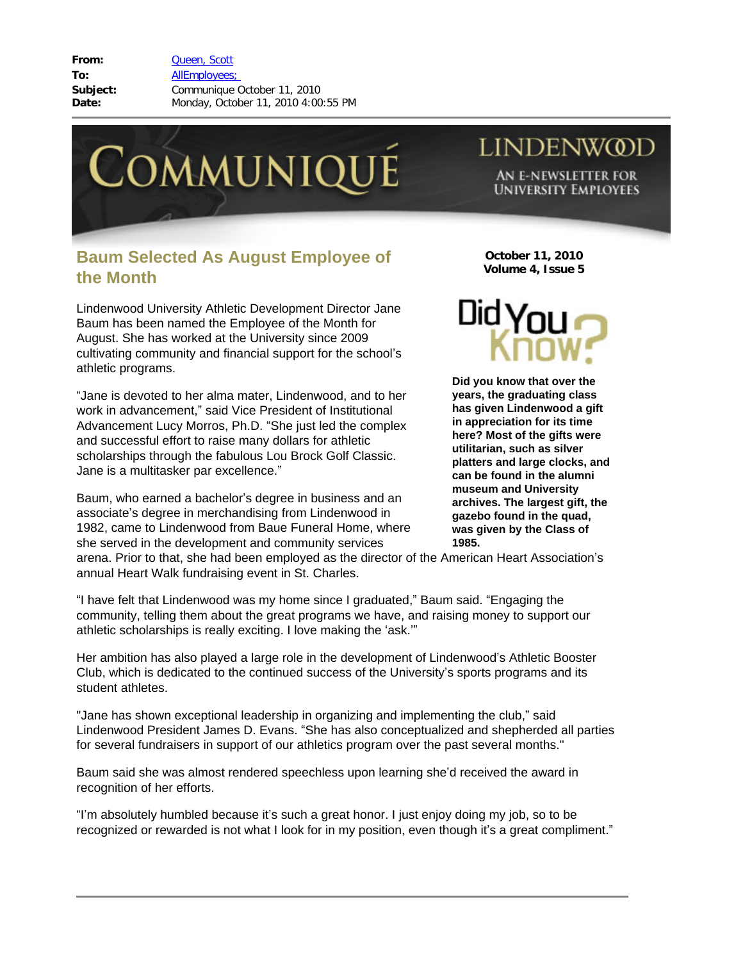**From:** [Queen, Scott](mailto:/O=LINDENWOOD UNIVERSITY/OU=LINDENWOOD/CN=RECIPIENTS/CN=SQUEEN) **To:** [AllEmployees;](mailto:/O=LINDENWOOD UNIVERSITY/OU=LINDENWOOD/CN=RECIPIENTS/CN=ALLEMPLOYEES)  **Subject:** Communique October 11, 2010 **Date:** Monday, October 11, 2010 4:00:55 PM



## **Baum Selected As August Employee of the Month**

Lindenwood University Athletic Development Director Jane Baum has been named the Employee of the Month for August. She has worked at the University since 2009 cultivating community and financial support for the school's athletic programs.

"Jane is devoted to her alma mater, Lindenwood, and to her work in advancement," said Vice President of Institutional Advancement Lucy Morros, Ph.D. "She just led the complex and successful effort to raise many dollars for athletic scholarships through the fabulous Lou Brock Golf Classic. Jane is a multitasker par excellence."

Baum, who earned a bachelor's degree in business and an associate's degree in merchandising from Lindenwood in 1982, came to Lindenwood from Baue Funeral Home, where she served in the development and community services

**October 11, 2010 Volume 4, Issue 5**

**LINDENWOD** 

AN E-NEWSLETTER FOR **UNIVERSITY EMPLOYEES** 



**Did you know that over the years, the graduating class has given Lindenwood a gift in appreciation for its time here? Most of the gifts were utilitarian, such as silver platters and large clocks, and can be found in the alumni museum and University archives. The largest gift, the gazebo found in the quad, was given by the Class of 1985.** 

arena. Prior to that, she had been employed as the director of the American Heart Association's annual Heart Walk fundraising event in St. Charles.

"I have felt that Lindenwood was my home since I graduated," Baum said. "Engaging the community, telling them about the great programs we have, and raising money to support our athletic scholarships is really exciting. I love making the 'ask.'"

Her ambition has also played a large role in the development of Lindenwood's Athletic Booster Club, which is dedicated to the continued success of the University's sports programs and its student athletes.

"Jane has shown exceptional leadership in organizing and implementing the club," said Lindenwood President James D. Evans. "She has also conceptualized and shepherded all parties for several fundraisers in support of our athletics program over the past several months."

Baum said she was almost rendered speechless upon learning she'd received the award in recognition of her efforts.

"I'm absolutely humbled because it's such a great honor. I just enjoy doing my job, so to be recognized or rewarded is not what I look for in my position, even though it's a great compliment."